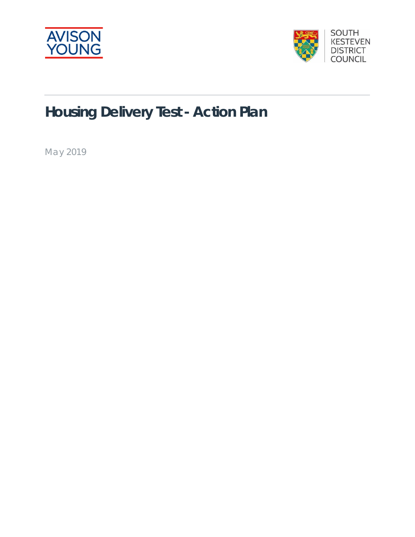



# **Housing Delivery Test - Action Plan**

May 2019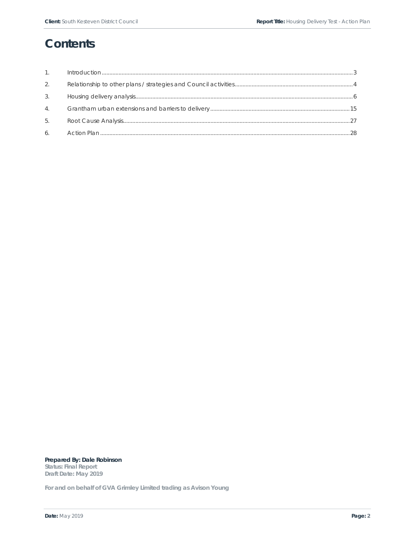# **Contents**

| 1. |  |
|----|--|
| 2. |  |
| 3. |  |
| 4. |  |
| 5. |  |
| 6. |  |

**Prepared By: Dale Robinson Status: Final Report Draft Date: May 2019** 

**For and on behalf of GVA Grimley Limited trading as Avison Young**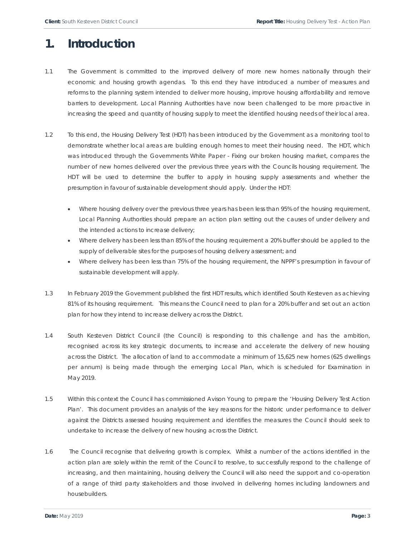# **1. Introduction**

- 1.1 The Government is committed to the improved delivery of more new homes nationally through their economic and housing growth agendas. To this end they have introduced a number of measures and reforms to the planning system intended to deliver more housing, improve housing affordability and remove barriers to development. Local Planning Authorities have now been challenged to be more proactive in increasing the speed and quantity of housing supply to meet the identified housing needs of their local area.
- 1.2 To this end, the Housing Delivery Test (HDT) has been introduced by the Government as a monitoring tool to demonstrate whether local areas are building enough homes to meet their housing need. The HDT, which was introduced through the Governments White Paper - Fixing our broken housing market, compares the number of new homes delivered over the previous three years with the Councils housing requirement. The HDT will be used to determine the buffer to apply in housing supply assessments and whether the presumption in favour of sustainable development should apply. Under the HDT:
	- Where housing delivery over the previous three years has been less than 95% of the housing requirement, Local Planning Authorities should prepare an action plan setting out the causes of under delivery and the intended actions to increase delivery;
	- Where delivery has been less than 85% of the housing requirement a 20% buffer should be applied to the supply of deliverable sites for the purposes of housing delivery assessment; and
	- Where delivery has been less than 75% of the housing requirement, the NPPF's presumption in favour of sustainable development will apply.
- 1.3 In February 2019 the Government published the first HDT results, which identified South Kesteven as achieving 81% of its housing requirement. This means the Council need to plan for a 20% buffer and set out an action plan for how they intend to increase delivery across the District.
- 1.4 South Kesteven District Council (the Council) is responding to this challenge and has the ambition, recognised across its key strategic documents, to increase and accelerate the delivery of new housing across the District. The allocation of land to accommodate a minimum of 15,625 new homes (625 dwellings per annum) is being made through the emerging Local Plan, which is scheduled for Examination in May 2019.
- 1.5 Within this context the Council has commissioned Avison Young to prepare the 'Housing Delivery Test Action Plan'. This document provides an analysis of the key reasons for the historic under performance to deliver against the Districts assessed housing requirement and identifies the measures the Council should seek to undertake to increase the delivery of new housing across the District.
- 1.6 The Council recognise that delivering growth is complex. Whilst a number of the actions identified in the action plan are solely within the remit of the Council to resolve, to successfully respond to the challenge of increasing, and then maintaining, housing delivery the Council will also need the support and co-operation of a range of third party stakeholders and those involved in delivering homes including landowners and housebuilders.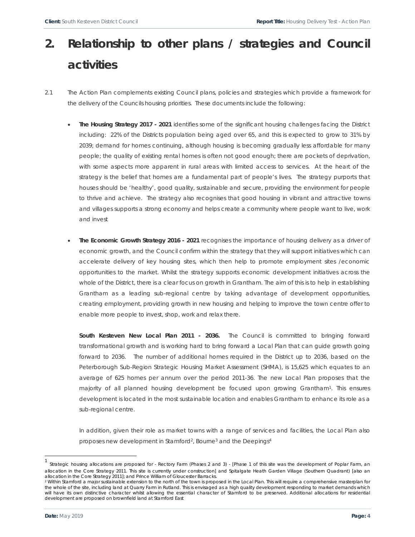# **2. Relationship to other plans / strategies and Council activities**

- 2.1 The Action Plan complements existing Council plans, policies and strategies which provide a framework for the delivery of the Councils housing priorities. These documents include the following:
	- **The Housing Strategy 2017 2021** identifies some of the significant housing challenges facing the District including: 22% of the Districts population being aged over 65, and this is expected to grow to 31% by 2039; demand for homes continuing, although housing is becoming gradually less affordable for many people; the quality of existing rental homes is often not good enough; there are pockets of deprivation, with some aspects more apparent in rural areas with limited access to services. At the heart of the strategy is the belief that homes are a fundamental part of people's lives. The strategy purports that houses should be 'healthy', good quality, sustainable and secure, providing the environment for people to thrive and achieve. The strategy also recognises that good housing in vibrant and attractive towns and villages supports a strong economy and helps create a community where people want to live, work and invest
	- **The Economic Growth Strategy 2016 2021** recognises the importance of housing delivery as a driver of economic growth, and the Council confirm within the strategy that they will support initiatives which can accelerate delivery of key housing sites, which then help to promote employment sites /economic opportunities to the market. Whilst the strategy supports economic development initiatives across the whole of the District, there is a clear focus on growth in Grantham. The aim of this is to help in establishing Grantham as a leading sub-regional centre by taking advantage of development opportunities, creating employment, providing growth in new housing and helping to improve the town centre offer to enable more people to invest, shop, work and relax there.

South Kesteven New Local Plan 2011 - 2036. The Council is committed to bringing forward transformational growth and is working hard to bring forward a Local Plan that can guide growth going forward to 2036. The number of additional homes required in the District up to 2036, based on the Peterborough Sub-Region Strategic Housing Market Assessment (SHMA), is 15,625 which equates to an average of 625 homes per annum over the period 2011-36. The new Local Plan proposes that the majority of all planned housing development be focused upon growing Grantham1. This ensures development is located in the most sustainable location and enables Grantham to enhance its role as a sub-regional centre.

In addition, given their role as market towns with a range of services and facilities, the Local Plan also proposes new development in Stamford2, Bourne3 and the Deepings4

 1 Strategic housing allocations are proposed for - Rectory Farm (Phases 2 and 3) - [Phase 1 of this site was the development of Poplar Farm, an allocation in the Core Strategy 2011. This site is currently under construction] and Spitalgate Heath Garden Village (Southern Quadrant) [also an allocation in the Core Strategy 2011]; and Prince William of Gloucester Barracks.

<sup>&</sup>lt;sup>2</sup> Within Stamford a major sustainable extension to the north of the town is proposed in the Local Plan. This will require a comprehensive masterplan for the whole of the site, including land at Quarry Farm in Rutland. This is envisaged as a high quality development responding to market demands which will have its own distinctive character whilst allowing the essential character of Stamford to be preserved. Additional allocations for residential development are proposed on brownfield land at Stamford East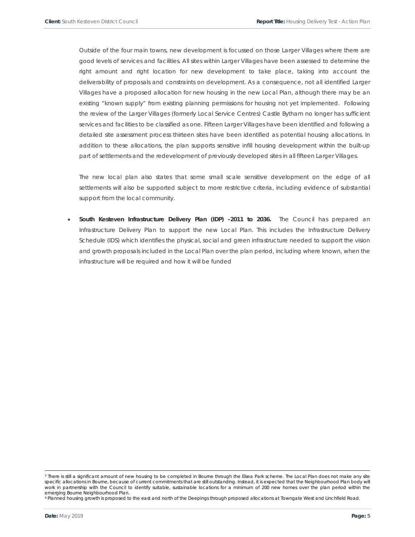Outside of the four main towns, new development is focussed on those Larger Villages where there are good levels of services and facilities. All sites within Larger Villages have been assessed to determine the right amount and right location for new development to take place, taking into account the deliverability of proposals and constraints on development. As a consequence, not all identified Larger Villages have a proposed allocation for new housing in the new Local Plan, although there may be an existing "known supply" from existing planning permissions for housing not yet implemented. Following the review of the Larger Villages (formerly Local Service Centres) Castle Bytham no longer has sufficient services and facilities to be classified as one. Fifteen Larger Villages have been identified and following a detailed site assessment process thirteen sites have been identified as potential housing allocations. In addition to these allocations, the plan supports sensitive infill housing development within the built-up part of settlements and the redevelopment of previously developed sites in all fifteen Larger Villages.

The new local plan also states that some small scale sensitive development on the edge of all settlements will also be supported subject to more restrictive criteria, including evidence of substantial support from the local community.

 **South Kesteven Infrastructure Delivery Plan (IDP) -2011 to 2036.** The Council has prepared an Infrastructure Delivery Plan to support the new Local Plan. This includes the Infrastructure Delivery Schedule (IDS) which identifies the physical, social and green infrastructure needed to support the vision and growth proposals included in the Local Plan over the plan period, including where known, when the infrastructure will be required and how it will be funded

<sup>&</sup>lt;sup>3</sup> There is still a significant amount of new housing to be completed in Bourne through the Elsea Park scheme. The Local Plan does not make any site specific allocations in Bourne, because of current commitments that are still outstanding. Instead, it is expected that the Neighbourhood Plan body will work in partnership with the Council to identify suitable, sustainable locations for a minimum of 200 new homes over the plan period within the emerging Bourne Neighbourhood Plan.

<sup>4</sup> Planned housing growth is proposed to the east and north of the Deepings through proposed allocations at Towngate West and Linchfield Road.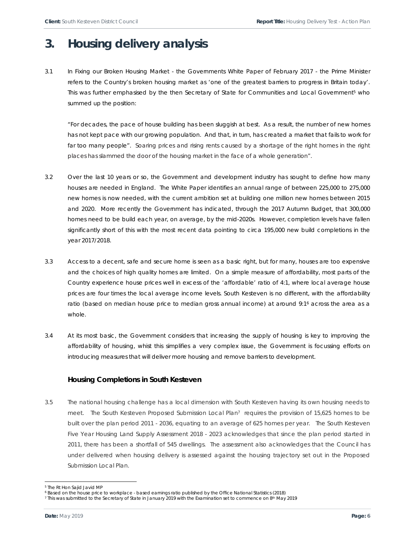# **3. Housing delivery analysis**

3.1 In *Fixing our Broken Housing Market -* the Governments White Paper of February 2017 - the Prime Minister refers to the Country's broken housing market as 'one of the greatest barriers to progress in Britain today'. This was further emphasised by the then Secretary of State for Communities and Local Government<sup>5</sup> who summed up the position:

*"For decades, the pace of house building has been sluggish at best. As a result, the number of new homes has not kept pace with our growing population. And that, in turn, has created a market that fails to work for*  far too many people". Soaring prices and rising rents caused by a shortage of the right homes in the right *places has slammed the door of the housing market in the face of a whole generation".*

- 3.2 Over the last 10 years or so, the Government and development industry has sought to define how many houses are needed in England. The White Paper identifies an annual range of between 225,000 to 275,000 new homes is now needed, with the current ambition set at building one million new homes between 2015 and 2020. More recently the Government has indicated, through the 2017 Autumn Budget, that 300,000 homes need to be build each year, on average, by the mid-2020s. However, completion levels have fallen significantly short of this with the most recent data pointing to circa 195,000 new build completions in the year 2017/2018.
- 3.3 Access to a decent, safe and secure home is seen as a basic right, but for many, houses are too expensive and the choices of high quality homes are limited. On a simple measure of affordability, most parts of the Country experience house prices well in excess of the 'affordable' ratio of 4:1, where local average house prices are four times the local average income levels. South Kesteven is no different, with the affordability ratio (based on median house price to median gross annual income) at around 9:16 across the area as a whole.
- 3.4 At its most basic, the Government considers that increasing the supply of housing is key to improving the affordability of housing, whist this simplifies a very complex issue, the Government is focussing efforts on introducing measures that will deliver more housing and remove barriers to development.

## **Housing Completions in South Kesteven**

3.5 The national housing challenge has a local dimension with South Kesteven having its own housing needs to meet. The South Kesteven Proposed Submission Local Plan<sup>7</sup> requires the provision of 15,625 homes to be built over the plan period 2011 - 2036, equating to an average of 625 homes per year. The South Kesteven Five Year Housing Land Supply Assessment 2018 - 2023 acknowledges that since the plan period started in 2011, there has been a shortfall of 545 dwellings. The assessment also acknowledges that the Council has under delivered when housing delivery is assessed against the housing trajectory set out in the Proposed Submission Local Plan.

 $\overline{a}$ 

<sup>5</sup> The Rt Hon Sajid Javid MP

<sup>6</sup> Based on the house price to workplace - based earnings ratio published by the Office National Statistics (2018)

<sup>7</sup> This was submitted to the Secretary of State in January 2019 with the Examination set to commence on 8th May 2019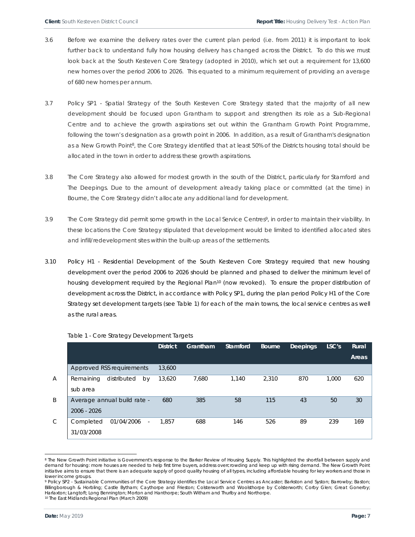- 3.6 Before we examine the delivery rates over the current plan period (i.e. from 2011) it is important to look further back to understand fully how housing delivery has changed across the District. To do this we must look back at the South Kesteven Core Strategy (adopted in 2010), which set out a requirement for 13,600 new homes over the period 2006 to 2026. This equated to a minimum requirement of providing an average of 680 new homes per annum.
- 3.7 *Policy SP1 Spatial Strategy* of the South Kesteven Core Strategy stated that the majority of all new development should be focused upon Grantham to support and strengthen its role as a Sub-Regional Centre and to achieve the growth aspirations set out within the Grantham Growth Point Programme, following the town's designation as a growth point in 2006. In addition, as a result of Grantham's designation as a New Growth Point<sup>8</sup>, the Core Strategy identified that at least 50% of the Districts housing total should be allocated in the town in order to address these growth aspirations.
- 3.8 The Core Strategy also allowed for modest growth in the south of the District, particularly for Stamford and The Deepings. Due to the amount of development already taking place or committed (at the time) in Bourne, the Core Strategy didn't allocate any additional land for development.
- 3.9 The Core Strategy did permit some growth in the Local Service Centres9, in order to maintain their viability. In these locations the Core Strategy stipulated that development would be limited to identified allocated sites and infill/redevelopment sites within the built-up areas of the settlements.
- 3.10 *Policy H1 Residential Development* of the South Kesteven Core Strategy required that new housing development over the period 2006 to 2026 should be planned and phased to deliver the minimum level of housing development required by the Regional Plan<sup>10</sup> (now revoked). To ensure the proper distribution of development across the District, in accordance with Policy SP1, during the plan period Policy H1 of the Core Strategy set development targets (see Table 1) for each of the main towns, the local service centres as well as the rural areas.

|                |                                                                   | <b>District</b> | Grantham | Stamford | <b>Bourne</b> | Deepings | LSC's | Rural<br><b>Areas</b> |
|----------------|-------------------------------------------------------------------|-----------------|----------|----------|---------------|----------|-------|-----------------------|
|                | Approved RSS requirements                                         | 13,600          |          |          |               |          |       |                       |
| $\overline{A}$ | distributed<br>Remaining<br>by<br>sub area                        | 13,620          | 7,680    | 1.140    | 2,310         | 870      | 1,000 | 620                   |
| B              | Average annual build rate -<br>$2006 - 2026$                      | 680             | 385      | 58       | 115           | 43       | 50    | 30                    |
| $\mathcal{C}$  | Completed<br>01/04/2006<br>$\overline{\phantom{a}}$<br>31/03/2008 | 1.857           | 688      | 146      | 526           | 89       | 239   | 169                   |

Table 1 - Core Strategy Development Targets

<sup>8</sup> The New Growth Point initiative is Government's response to the Barker Review of Housing Supply. This highlighted the shortfall between supply and demand for housing: more houses are needed to help first time buyers, address overcrowding and keep up with rising demand. The New Growth Point initiative aims to ensure that there is an adequate supply of good quality housing of all types, including affordable housing for key workers and those in lower income groups.

<sup>9</sup> Policy SP2 - Sustainable Communities of the Core Strategy identifies the Local Service Centres as Ancaster; Barkston and Syston; Barrowby; Baston; Billingborough & Horbling; Castle Bytham; Caythorpe and Frieston; Colsterworth and Woolsthorpe by Colsterworth; Corby Glen; Great Gonerby; Harlaxton; Langtoft; Long Bennington; Morton and Hanthorpe; South Witham and Thurlby and Northorpe. 10 The East Midlands Regional Plan (March 2009)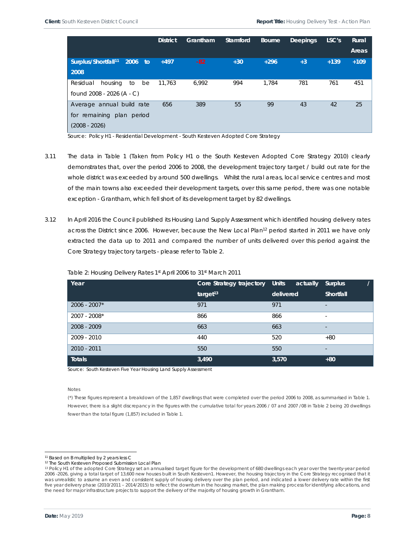|                                             | <b>District</b> | Grantham | Stamford | <b>Bourne</b> | <b>Deepings</b> | LSC's  | Rural  |
|---------------------------------------------|-----------------|----------|----------|---------------|-----------------|--------|--------|
|                                             |                 |          |          |               |                 |        | Areas  |
| Surplus/Shortfall <sup>11</sup> 2006<br>to: | $+497$          | $-82$    | $+30$    | $+296$        | $+3$            | $+139$ | $+109$ |
| 2008                                        |                 |          |          |               |                 |        |        |
| Residual<br>housing<br>be<br>to             | 11.763          | 6,992    | 994      | 1.784         | 781             | 761    | 451    |
| found 2008 - 2026 (A - C)                   |                 |          |          |               |                 |        |        |
| Average annual build rate                   | 656             | 389      | 55       | 99            | 43              | 42     | 25     |
| remaining<br>plan period<br>for             |                 |          |          |               |                 |        |        |
| $(2008 - 2026)$                             |                 |          |          |               |                 |        |        |

Source: Policy H1 - Residential Development - South Kesteven Adopted Core Strategy

- 3.11 The data in Table 1 (Taken from Policy H1 o the South Kesteven Adopted Core Strategy 2010) clearly demonstrates that, over the period 2006 to 2008, the development trajectory target / build out rate for the whole district was exceeded by around 500 dwellings. Whilst the rural areas, local service centres and most of the main towns also exceeded their development targets, over this same period, there was one notable exception - Grantham, which fell short of its development target by 82 dwellings.
- 3.12 In April 2016 the Council published its Housing Land Supply Assessment which identified housing delivery rates across the District since 2006. However, because the New Local Plan<sup>12</sup> period started in 2011 we have only extracted the data up to 2011 and compared the number of units delivered over this period against the Core Strategy trajectory targets - please refer to Table 2.

| Year           | Core Strategy trajectory Units | actually  | <b>Surplus</b>           |
|----------------|--------------------------------|-----------|--------------------------|
|                | target <sup>13</sup>           | delivered | Shortfall                |
| $2006 - 2007*$ | 971                            | 971       | $\overline{\phantom{a}}$ |
| 2007 - 2008*   | 866                            | 866       | $\overline{\phantom{0}}$ |
| 2008 - 2009    | 663                            | 663       | $\overline{\phantom{a}}$ |
| 2009 - 2010    | 440                            | 520       | $+80$                    |
| 2010 - 2011    | 550                            | 550       | $\overline{\phantom{0}}$ |
| <b>Totals</b>  | 3,490                          | 3,570     | $+80$                    |

#### Table 2: Housing Delivery Rates 1st April 2006 to 31st March 2011

Source: South Kesteven Five Year Housing Land Supply Assessment

Notes

(\*) These figures represent a breakdown of the 1,857 dwellings that were completed over the period 2006 to 2008, as summarised in Table 1. However, there is a slight discrepancy in the figures with the cumulative total for years 2006 / 07 and 2007 /08 in Table 2 being 20 dwellings fewer than the total figure (1,857) included in Table 1.

<sup>11</sup> Based on B multiplied by 2 years less C

<sup>12</sup> The South Kesteven Proposed Submission Local Plan

<sup>13</sup> Policy H1 of the adopted Core Strategy set an annualised target figure for the development of 680 dwellings each year over the twenty-year period 2006 -2026, giving a total target of 13,600 new houses built in South Kesteven1. However, the housing trajectory in the Core Strategy recognised that it was unrealistic to assume an even and consistent supply of housing delivery over the plan period, and indicated a lower delivery rate within the first five year delivery phase (2010/2011 – 2014/2015) to reflect the downturn in the housing market, the plan making process for identifying allocations, and the need for major infrastructure projects to support the delivery of the majority of housing growth in Grantham.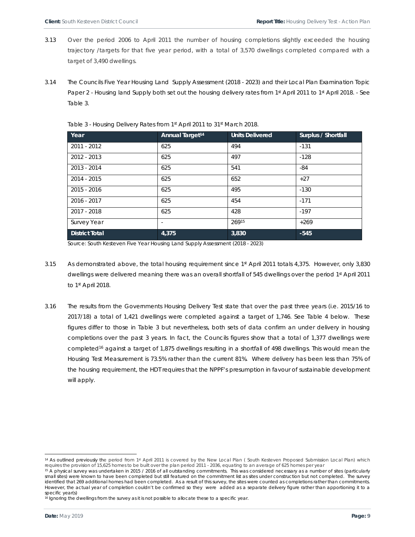- 3.13 Over the period 2006 to April 2011 the number of housing completions slightly exceeded the housing trajectory /targets for that five year period, with a total of 3,570 dwellings completed compared with a target of 3,490 dwellings.
- 3.14 The Councils Five Year Housing Land Supply Assessment (2018 2023) and their Local Plan Examination Topic Paper 2 - Housing land Supply both set out the housing delivery rates from 1st April 2011 to 1st April 2018. - See Table 3.

| Year                  | <b>Annual Target<sup>14</sup></b> | <b>Units Delivered</b> | Surplus / Shortfall |
|-----------------------|-----------------------------------|------------------------|---------------------|
| 2011 - 2012           | 625                               | 494                    | $-131$              |
| 2012 - 2013           | 625                               | 497                    | $-128$              |
| 2013 - 2014           | 625                               | 541                    | -84                 |
| 2014 - 2015           | 625                               | 652                    | $+27$               |
| 2015 - 2016           | 625                               | 495                    | $-130$              |
| 2016 - 2017           | 625                               | 454                    | $-171$              |
| 2017 - 2018           | 625                               | 428                    | $-197$              |
| Survey Year           | $\overline{\phantom{a}}$          | 26915                  | $+269$              |
| <b>District Total</b> | 4,375                             | 3,830                  | $-545$              |

Table 3 - Housing Delivery Rates from 1st April 2011 to 31st March 2018.

Source: South Kesteven Five Year Housing Land Supply Assessment (2018 - 2023)

- 3.15 As demonstrated above, the total housing requirement since 1st April 2011 totals 4,375. However, only 3,830 dwellings were delivered meaning there was an overall shortfall of 545 dwellings over the period 1st April 2011 to 1st April 2018.
- 3.16 The results from the Governments Housing Delivery Test state that over the past three years (i.e. 2015/16 to 2017/18) a total of 1,421 dwellings were completed against a target of 1,746. See Table 4 below. These figures differ to those in Table 3 but nevertheless, both sets of data confirm an under delivery in housing completions over the past 3 years. In fact, the Councils figures show that a total of 1,377 dwellings were completed<sup>16</sup> against a target of 1,875 dwellings resulting in a shortfall of 498 dwellings. This would mean the Housing Test Measurement is 73.5% rather than the current 81%. Where delivery has been less than 75% of the housing requirement, the HDT requires that the NPPF's presumption in favour of sustainable development will apply.

<sup>&</sup>lt;sup>14</sup> As outlined previously the period from 1<sup>st</sup> April 2011 is covered by the New Local Plan (South Kesteven Proposed Submission Local Plan) which requires the provision of 15,625 homes to be built over the plan period 2011 - 2036, equating to an average of 625 homes per year

<sup>&</sup>lt;sup>15</sup> A physical survey was undertaken in 2015 / 2016 of all outstanding commitments. This was considered necessary as a number of sites (particularly small sites) were known to have been completed but still featured on the commitment list as sites under construction but not completed. The survey identified that 269 additional homes had been completed. As a result of this survey, the sites were counted as completions rather than commitments. However, the actual year of completion couldn't be confirmed so they were added as a separate delivery figure rather than apportioning it to a specific year(s)

<sup>&</sup>lt;sup>16</sup> Ignoring the dwellings from the survey as it is not possible to allocate these to a specific year.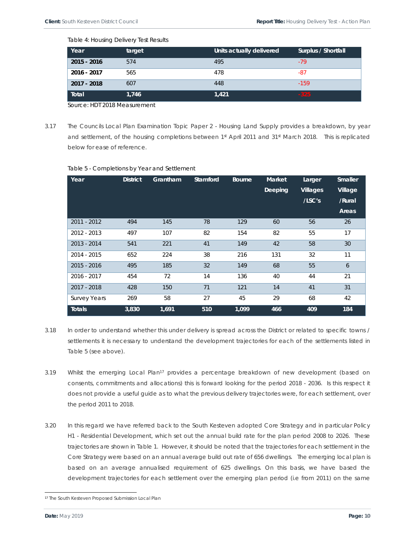Table 4: Housing Delivery Test Results

| Year          | target | Units actually delivered | Surplus / Shortfall |
|---------------|--------|--------------------------|---------------------|
| $2015 - 2016$ | 574    | 495                      | $-79$               |
| 2016 - 2017   | 565    | 478                      | -87                 |
| 2017 - 2018   | 607    | 448                      | $-159$              |
| Total         | 1,746  | 1,421                    | $-325$              |

Source: HDT 2018 Measurement

3.17 The Councils Local Plan Examination Topic Paper 2 - Housing Land Supply provides a breakdown, by year and settlement, of the housing completions between 1st April 2011 and 31st March 2018. This is replicated below for ease of reference.

| Table 5 - Completions by Year and Settlement |  |
|----------------------------------------------|--|
|----------------------------------------------|--|

| Year                | <b>District</b> | Grantham | Stamford | <b>Bourne</b> | <b>Market</b> | Larger          | <b>Smaller</b> |
|---------------------|-----------------|----------|----------|---------------|---------------|-----------------|----------------|
|                     |                 |          |          |               | Deeping       | <b>Villages</b> | Village        |
|                     |                 |          |          |               |               | /LSC's          | /Rural         |
|                     |                 |          |          |               |               |                 | Areas          |
| 2011 - 2012         | 494             | 145      | 78       | 129           | 60            | 56              | 26             |
| 2012 - 2013         | 497             | 107      | 82       | 154           | 82            | 55              | 17             |
| 2013 - 2014         | 541             | 221      | 41       | 149           | 42            | 58              | 30             |
| 2014 - 2015         | 652             | 224      | 38       | 216           | 131           | 32              | 11             |
| $2015 - 2016$       | 495             | 185      | 32       | 149           | 68            | 55              | 6              |
| 2016 - 2017         | 454             | 72       | 14       | 136           | 40            | 44              | 21             |
| 2017 - 2018         | 428             | 150      | 71       | 121           | 14            | 41              | 31             |
| <b>Survey Years</b> | 269             | 58       | 27       | 45            | 29            | 68              | 42             |
| <b>Totals</b>       | 3,830           | 1,691    | 510      | 1,099         | 466           | 409             | 184            |

- 3.18 In order to understand whether this under delivery is spread across the District or related to specific towns / settlements it is necessary to understand the development trajectories for each of the settlements listed in Table 5 (see above).
- 3.19 Whilst the emerging Local Plan<sup>17</sup> provides a percentage breakdown of new development (based on consents, commitments and allocations) this is forward looking for the period 2018 - 2036. Is this respect it does not provide a useful guide as to what the previous delivery trajectories were, for each settlement, over the period 2011 to 2018.
- 3.20 In this regard we have referred back to the South Kesteven adopted Core Strategy and in particular Policy H1 - Residential Development, which set out the annual build rate for the plan period 2008 to 2026. These trajectories are shown in Table 1. However, it should be noted that the trajectories for each settlement in the Core Strategy were based on an annual average build out rate of 656 dwellings. The emerging local plan is based on an average annualised requirement of 625 dwellings. On this basis, we have based the development trajectories for each settlement over the emerging plan period (i.e from 2011) on the same

<sup>17</sup> The South Kesteven Proposed Submission Local Plan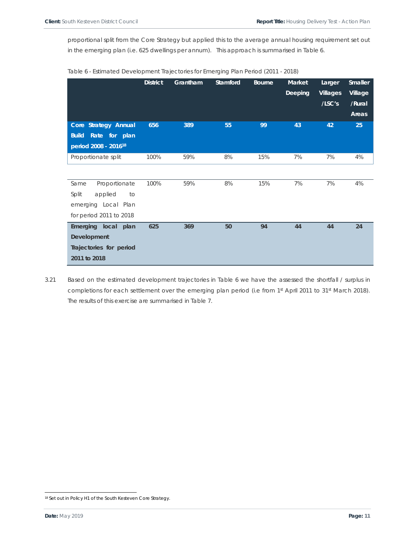proportional split from the Core Strategy but applied this to the average annual housing requirement set out in the emerging plan (i.e. 625 dwellings per annum). This approach is summarised in Table 6.

|                                  | <b>District</b> | Grantham | Stamford | <b>Bourne</b> | <b>Market</b><br><b>Deeping</b> | Larger<br><b>Villages</b><br>/LSC's | <b>Smaller</b><br>Village<br>/Rural<br>Areas |
|----------------------------------|-----------------|----------|----------|---------------|---------------------------------|-------------------------------------|----------------------------------------------|
| Core Strategy Annual             | 656             | 389      | 55       | 99            | 43                              | 42                                  | 25                                           |
| Rate for plan<br><b>Build</b>    |                 |          |          |               |                                 |                                     |                                              |
| period 2008 - 2016 <sup>18</sup> |                 |          |          |               |                                 |                                     |                                              |
| Proportionate split              | 100%            | 59%      | 8%       | 15%           | 7%                              | 7%                                  | 4%                                           |
|                                  |                 |          |          |               |                                 |                                     |                                              |
| Proportionate<br>Same            | 100%            | 59%      | 8%       | 15%           | 7%                              | 7%                                  | 4%                                           |
| Split<br>applied<br>to           |                 |          |          |               |                                 |                                     |                                              |
| emerging Local Plan              |                 |          |          |               |                                 |                                     |                                              |
| for period 2011 to 2018          |                 |          |          |               |                                 |                                     |                                              |
| Emerging local plan              | 625             | 369      | 50       | 94            | 44                              | 44                                  | 24                                           |
| Development                      |                 |          |          |               |                                 |                                     |                                              |
| Trajectories for period          |                 |          |          |               |                                 |                                     |                                              |
| 2011 to 2018                     |                 |          |          |               |                                 |                                     |                                              |

| Table 6 - Estimated Development Trajectories for Emerging Plan Period (2011 - 2018) |
|-------------------------------------------------------------------------------------|
|                                                                                     |

3.21 Based on the estimated development trajectories in Table 6 we have the assessed the shortfall / surplus in completions for each settlement over the emerging plan period (i.e from 1st April 2011 to 31st March 2018). The results of this exercise are summarised in Table 7.

<sup>18</sup> Set out in Policy H1 of the South Kesteven Core Strategy.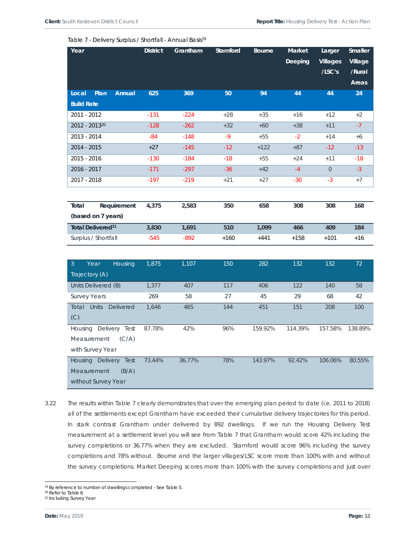|  | Table 7 - Delivery Surplus / Shortfall - Annual Basis <sup>19</sup> |
|--|---------------------------------------------------------------------|
|--|---------------------------------------------------------------------|

| Year                                      | <b>District</b> | Grantham | Stamford | <b>Bourne</b> | Market  | Larger          | <b>Smaller</b> |
|-------------------------------------------|-----------------|----------|----------|---------------|---------|-----------------|----------------|
|                                           |                 |          |          |               | Deeping | <b>Villages</b> | Village        |
|                                           |                 |          |          |               |         | /LSC's          | /Rural         |
|                                           |                 |          |          |               |         |                 | Areas          |
| Plan<br>Annual<br>Local                   | 625             | 369      | 50       | 94            | 44      | 44              | 24             |
| <b>Build Rate</b>                         |                 |          |          |               |         |                 |                |
| 2011 - 2012                               | $-131$          | $-224$   | $+28$    | $+35$         | $+16$   | $+12$           | $+2$           |
| 2012 - 201320                             | $-128$          | $-262$   | $+32$    | $+60$         | $+38$   | $+11$           | $-7$           |
| 2013 - 2014                               | $-84$           | $-148$   | $-9$     | $+55$         | $-2$    | $+14$           | $+6$           |
| 2014 - 2015                               | $+27$           | $-145$   | $-12$    | $+122$        | $+87$   | $-12$           | $-13$          |
| 2015 - 2016                               | $-130$          | $-184$   | $-18$    | $+55$         | $+24$   | $+11$           | $-18$          |
| 2016 - 2017                               | $-171$          | $-297$   | $-36$    | $+42$         | $-4$    | $\overline{O}$  | $-3$           |
| 2017 - 2018                               | $-197$          | $-219$   | $+21$    | $+27$         | $-30$   | $-3$            | $+7$           |
|                                           |                 |          |          |               |         |                 |                |
| Total<br>Requirement                      | 4,375           | 2,583    | 350      | 658           | 308     | 308             | 168            |
| (based on 7 years)                        |                 |          |          |               |         |                 |                |
| Total Delivered <sup>21</sup>             | 3,830           | 1,691    | 510      | 1,099         | 466     | 409             | 184            |
| Surplus / Shortfall                       | $-545$          | $-892$   | $+160$   | $+441$        | $+158$  | $+101$          | $+16$          |
|                                           |                 |          |          |               |         |                 |                |
| $\overline{3}$<br>Year<br>Housing         | 1,875           | 1,107    | 150      | 282           | 132     | 132             | 72             |
| Trajectory (A)                            |                 |          |          |               |         |                 |                |
| Units Delivered (B)                       | 1,377           | 407      | 117      | 406           | 122     | 140             | 58             |
| <b>Survey Years</b>                       | 269             | 58       | 27       | 45            | 29      | 68              | 42             |
| <b>Units</b><br><b>Delivered</b><br>Total | 1,646           | 465      | 144      | 451           | 151     | 208             | 100            |
| (C)                                       |                 |          |          |               |         |                 |                |
| Housing Delivery Test                     | 87.78%          | 42%      | 96%      | 159.92%       | 114.39% | 157.58%         | 138.89%        |
| Measurement<br>(C/A)                      |                 |          |          |               |         |                 |                |
| with Survey Year                          |                 |          |          |               |         |                 |                |
| Housing Delivery Test                     | 73.44%          | 36.77%   | 78%      | 143.97%       | 92.42%  | 106.06%         | 80.55%         |
| Measurement<br>(B/A)                      |                 |          |          |               |         |                 |                |
| without Survey Year                       |                 |          |          |               |         |                 |                |

3.22 The results within Table 7 clearly demonstrates that over the emerging plan period to date (i.e. 2011 to 2018) all of the settlements except Grantham have exceeded their cumulative delivery trajectories for this period. In stark contrast Grantham under delivered by 892 dwellings. If we run the Housing Delivery Test measurement at a settlement level you will see from Table 7 that Grantham would score 42% including the survey completions or 36.77% when they are excluded. Stamford would score 96% including the survey completions and 78% without. Bourne and the larger villages/LSC score more than 100% with and without the survey completions. Market Deeping scores more than 100% with the survey completions and just over

<sup>&</sup>lt;sup>19</sup> By reference to number of dwellings completed - See Table 5.

<sup>20</sup> Refer to Table 6

<sup>21</sup> Including Survey Year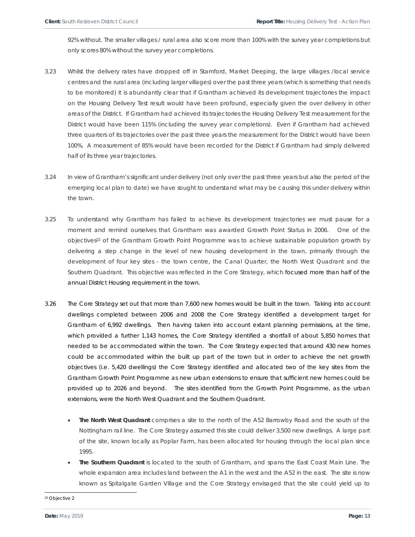92% without. The smaller villages / rural area also score more than 100% with the survey year completions but only scores 80% without the survey year completions.

- 3.23 Whilst the delivery rates have dropped off in Stamford, Market Deeping, the large villages /local service centres and the rural area (including larger villages) over the past three years (which is something that needs to be monitored) it is abundantly clear that if Grantham achieved its development trajectories the impact on the Housing Delivery Test result would have been profound, especially given the over delivery in other areas of the District. If Grantham had achieved its trajectories the Housing Delivery Test measurement for the District would have been 115% (including the survey year completions). Even if Grantham had achieved three quarters of its trajectories over the past three years the measurement for the District would have been 100%. A measurement of 85% would have been recorded for the District if Grantham had simply delivered half of its three year trajectories.
- 3.24 In view of Grantham's significant under delivery (not only over the past three years but also the period of the emerging local plan to date) we have sought to understand what may be causing this under delivery within the town.
- 3.25 To understand why Grantham has failed to achieve its development trajectories we must pause for a moment and remind ourselves that Grantham was awarded Growth Point Status in 2006. One of the objectives<sup>22</sup> of the Grantham Growth Point Programme was to achieve sustainable population growth by delivering a step change in the level of new housing development in the town, primarily through the development of four key sites - the town centre, the Canal Quarter, the North West Quadrant and the Southern Quadrant. This objective was reflected in the Core Strategy, which focused more than half of the annual District Housing requirement in the town.
- 3.26 The Core Strategy set out that more than 7,600 new homes would be built in the town. Taking into account dwellings completed between 2006 and 2008 the Core Strategy identified a development target for Grantham of 6,992 dwellings. Then having taken into account extant planning permissions, at the time, which provided a further 1,143 homes, the Core Strategy identified a shortfall of about 5,850 homes that needed to be accommodated within the town. The Core Strategy expected that around 430 new homes could be accommodated within the built up part of the town but in order to achieve the net growth objectives (i.e. 5,420 dwellings) the Core Strategy identified and allocated two of the key sites from the Grantham Growth Point Programme as new urban extensions to ensure that sufficient new homes could be provided up to 2026 and beyond. The sites identified from the Growth Point Programme, as the urban extensions, were the North West Quadrant and the Southern Quadrant.
	- **The North West Quadrant** comprises a site to the north of the A52 Barrowby Road and the south of the Nottingham rail line. The Core Strategy assumed this site could deliver 3,500 new dwellings. A large part of the site, known locally as Poplar Farm, has been allocated for housing through the local plan since 1995.
	- **The Southern Quadrant** is located to the south of Grantham, and spans the East Coast Main Line. The whole expansion area includes land between the A1 in the west and the A52 in the east. The site is now known as Spitalgate Garden Village and the Core Strategy envisaged that the site could yield up to

22 Objective 2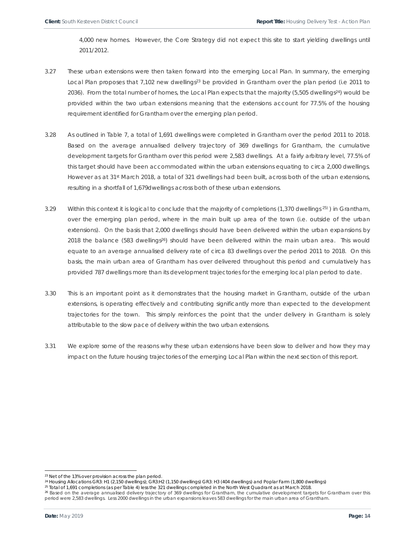4,000 new homes. However, the Core Strategy did not expect this site to start yielding dwellings until 2011/2012.

- 3.27 These urban extensions were then taken forward into the emerging Local Plan. In summary, the emerging Local Plan proposes that 7,102 new dwellings<sup>23</sup> be provided in Grantham over the plan period (i.e 2011 to 2036). From the total number of homes, the Local Plan expects that the majority (5,505 dwellings<sup>24</sup>) would be provided within the two urban extensions meaning that the extensions account for 77.5% of the housing requirement identified for Grantham over the emerging plan period.
- 3.28 As outlined in Table 7, a total of 1,691 dwellings were completed in Grantham over the period 2011 to 2018. Based on the average annualised delivery trajectory of 369 dwellings for Grantham, the cumulative development targets for Grantham over this period were 2,583 dwellings. At a fairly arbitrary level, 77.5% of this target should have been accommodated within the urban extensions equating to circa 2,000 dwellings. However as at 31st March 2018, a total of 321 dwellings had been built, across both of the urban extensions, resulting in a shortfall of 1,679dwellings across both of these urban extensions.
- 3.29 Within this context it is logical to conclude that the majority of completions (1,370 dwellings  $25$ ) in Grantham, over the emerging plan period, where in the main built up area of the town (i.e. outside of the urban extensions). On the basis that 2,000 dwellings should have been delivered within the urban expansions by 2018 the balance (583 dwellings<sup>26</sup>) should have been delivered within the main urban area. This would equate to an average annualised delivery rate of circa 83 dwellings over the period 2011 to 2018. On this basis, the main urban area of Grantham has over delivered throughout this period and cumulatively has provided 787 dwellings more than its development trajectories for the emerging local plan period to date.
- 3.30 This is an important point as it demonstrates that the housing market in Grantham, outside of the urban extensions, is operating effectively and contributing significantly more than expected to the development trajectories for the town. This simply reinforces the point that the under delivery in Grantham is solely attributable to the slow pace of delivery within the two urban extensions.
- 3.31 We explore some of the reasons why these urban extensions have been slow to deliver and how they may impact on the future housing trajectories of the emerging Local Plan within the next section of this report.

l

<sup>&</sup>lt;sup>23</sup> Net of the 13% over provision across the plan period.<br><sup>24</sup> Housing Allocations GR3: H1 (2,150 dwellings); GR3:H2 (1,150 dwellings) GR3: H3 (404 dwellings) and Poplar Farm (1,800 dwellings)

<sup>&</sup>lt;sup>25</sup> Total of 1,691 completions (as per Table 4) less the 321 dwellings completed in the North West Quadrant as at March 2018.

<sup>26</sup> Based on the average annualised delivery trajectory of 369 dwellings for Grantham, the cumulative development targets for Grantham over this period were 2,583 dwellings. Less 2000 dwellings in the urban expansions leaves 583 dwellings for the main urban area of Grantham.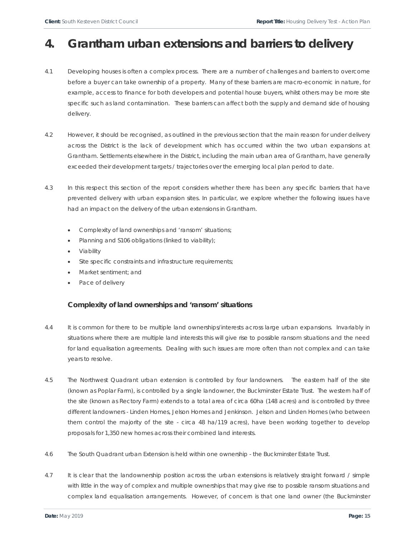# **4. Grantham urban extensions and barriers to delivery**

- 4.1 Developing houses is often a complex process. There are a number of challenges and barriers to overcome before a buyer can take ownership of a property. Many of these barriers are macro-economic in nature, for example, access to finance for both developers and potential house buyers, whilst others may be more site specific such as land contamination. These barriers can affect both the supply and demand side of housing delivery.
- 4.2 However, it should be recognised, as outlined in the previous section that the main reason for under delivery across the District is the lack of development which has occurred within the two urban expansions at Grantham. Settlements elsewhere in the District, including the main urban area of Grantham, have generally exceeded their development targets / trajectories over the emerging local plan period to date.
- 4.3 In this respect this section of the report considers whether there has been any specific barriers that have prevented delivery with urban expansion sites. In particular, we explore whether the following issues have had an impact on the delivery of the urban extensions in Grantham.
	- Complexity of land ownerships and 'ransom' situations;
	- Planning and S106 obligations (linked to viability);
	- Viability
	- Site specific constraints and infrastructure requirements;
	- Market sentiment; and
	- Pace of delivery

## **Complexity of land ownerships and 'ransom' situations**

- 4.4 It is common for there to be multiple land ownerships/interests across large urban expansions. Invariably in situations where there are multiple land interests this will give rise to possible ransom situations and the need for land equalisation agreements. Dealing with such issues are more often than not complex and can take years to resolve.
- 4.5 The Northwest Quadrant urban extension is controlled by four landowners. The eastern half of the site (known as Poplar Farm), is controlled by a single landowner, the Buckminster Estate Trust. The western half of the site (known as Rectory Farm) extends to a total area of circa 60ha (148 acres) and is controlled by three different landowners - Linden Homes, Jelson Homes and Jenkinson. Jelson and Linden Homes (who between them control the majority of the site - circa 48 ha/119 acres), have been working together to develop proposals for 1,350 new homes across their combined land interests.
- 4.6 The South Quadrant urban Extension is held within one ownership the Buckminster Estate Trust.
- 4.7 It is clear that the landownership position across the urban extensions is relatively straight forward / simple with little in the way of complex and multiple ownerships that may give rise to possible ransom situations and complex land equalisation arrangements. However, of concern is that one land owner (the Buckminster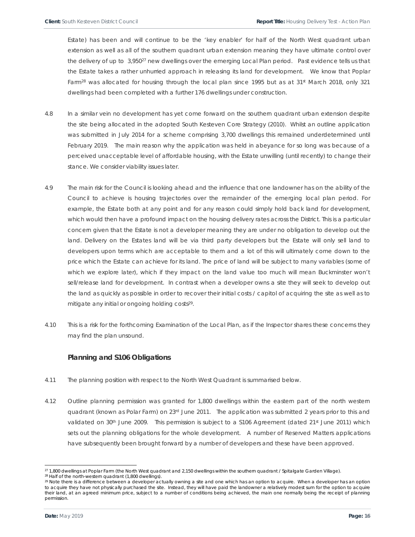Estate) has been and will continue to be the 'key enabler' for half of the North West quadrant urban extension as well as all of the southern quadrant urban extension meaning they have ultimate control over the delivery of up to 3,950<sup>27</sup> new dwellings over the emerging Local Plan period. Past evidence tells us that the Estate takes a rather unhurried approach in releasing its land for development. We know that Poplar Farm<sup>28</sup> was allocated for housing through the local plan since 1995 but as at 31<sup>st</sup> March 2018, only 321 dwellings had been completed with a further 176 dwellings under construction.

- 4.8 In a similar vein no development has yet come forward on the southern quadrant urban extension despite the site being allocated in the adopted South Kesteven Core Strategy (2010). Whilst an outline application was submitted in July 2014 for a scheme comprising 3,700 dwellings this remained underdetermined until February 2019. The main reason why the application was held in abeyance for so long was because of a perceived unacceptable level of affordable housing, with the Estate unwilling (until recently) to change their stance. We consider viability issues later.
- 4.9 The main risk for the Council is looking ahead and the influence that one landowner has on the ability of the Council to achieve is housing trajectories over the remainder of the emerging local plan period. For example, the Estate both at any point and for any reason could simply hold back land for development, which would then have a profound impact on the housing delivery rates across the District. This is a particular concern given that the Estate is not a developer meaning they are under no obligation to develop out the land. Delivery on the Estates land will be via third party developers but the Estate will only sell land to developers upon terms which are acceptable to them and a lot of this will ultimately come down to the price which the Estate can achieve for its land. The price of land will be subject to many variables (some of which we explore later), which if they impact on the land value too much will mean Buckminster won't sell/release land for development. In contrast when a developer owns a site they will seek to develop out the land as quickly as possible in order to recover their initial costs / capitol of acquiring the site as well as to mitigate any initial or ongoing holding costs<sup>29</sup>.
- 4.10 This is a risk for the forthcoming Examination of the Local Plan, as if the Inspector shares these concerns they may find the plan unsound.

## **Planning and S106 Obligations**

- 4.11 The planning position with respect to the North West Quadrant is summarised below.
- 4.12 Outline planning permission was granted for 1,800 dwellings within the eastern part of the north western quadrant (known as Polar Farm) on 23<sup>rd</sup> June 2011. The application was submitted 2 years prior to this and validated on 30<sup>th</sup> June 2009. This permission is subject to a S106 Agreement (dated 21st June 2011) which sets out the planning obligations for the whole development. A number of Reserved Matters applications have subsequently been brought forward by a number of developers and these have been approved.

<sup>&</sup>lt;sup>27</sup> 1,800 dwellings at Poplar Farm (the North West quadrant and 2,150 dwellings within the southern quadrant / Spitalgate Garden Village). <sup>28</sup> Half of the north-western quadrant (1,800 dwellings).

<sup>&</sup>lt;sup>29</sup> Note there is a difference between a developer actually owning a site and one which has an option to acquire. When a developer has an option to acquire they have not physically purchased the site. Instead, they will have paid the landowner a relatively modest sum for the option to acquire their land, at an agreed minimum price, subject to a number of conditions being achieved, the main one normally being the receipt of planning permission.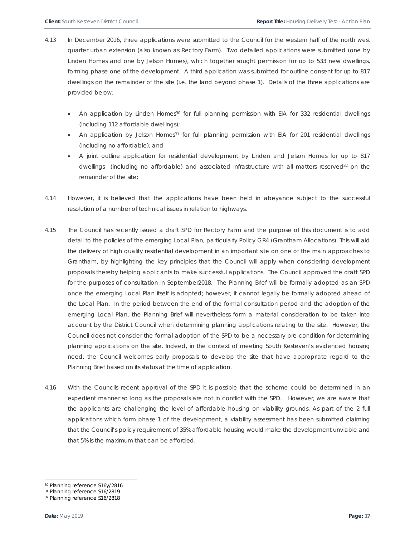- 4.13 In December 2016, three applications were submitted to the Council for the western half of the north west quarter urban extension (also known as Rectory Farm). Two detailed applications were submitted (one by Linden Homes and one by Jelson Homes), which together sought permission for up to 533 new dwellings, forming phase one of the development. A third application was submitted for outline consent for up to 817 dwellings on the remainder of the site (i.e. the land beyond phase 1). Details of the three applications are provided below;
	- An application by Linden Homes<sup>30</sup> for full planning permission with EIA for 332 residential dwellings (including 112 affordable dwellings);
	- An application by Jelson Homes<sup>31</sup> for full planning permission with EIA for 201 residential dwellings (including no affordable); and
	- A joint outline application for residential development by Linden and Jelson Homes for up to 817 dwellings (including no affordable) and associated infrastructure with all matters reserved $32$  on the remainder of the site;
- 4.14 However, it is believed that the applications have been held in abeyance subject to the successful resolution of a number of technical issues in relation to highways.
- 4.15 The Council has recently issued a draft SPD for Rectory Farm and the purpose of this document is to add detail to the policies of the emerging Local Plan, particularly Policy GR4 (Grantham Allocations). This will aid the delivery of high quality residential development in an important site on one of the main approaches to Grantham, by highlighting the key principles that the Council will apply when considering development proposals thereby helping applicants to make successful applications. The Council approved the draft SPD for the purposes of consultation in September2018. The Planning Brief will be formally adopted as an SPD once the emerging Local Plan itself is adopted; however, it cannot legally be formally adopted ahead of the Local Plan. In the period between the end of the formal consultation period and the adoption of the emerging Local Plan, the Planning Brief will nevertheless form a material consideration to be taken into account by the District Council when determining planning applications relating to the site. However, the Council does not consider the formal adoption of the SPD to be a necessary pre-condition for determining planning applications on the site. Indeed, in the context of meeting South Kesteven's evidenced housing need, the Council welcomes early proposals to develop the site that have appropriate regard to the Planning Brief based on its status at the time of application.
- 4.16 With the Councils recent approval of the SPD it is possible that the scheme could be determined in an expedient manner so long as the proposals are not in conflict with the SPD. However, we are aware that the applicants are challenging the level of affordable housing on viability grounds. As part of the 2 full applications which form phase 1 of the development, a viability assessment has been submitted claiming that the Council's policy requirement of 35% affordable housing would make the development unviable and that 5% is the maximum that can be afforded.

<sup>30</sup> Planning reference S16y/2816

<sup>31</sup> Planning reference S16/2819

<sup>32</sup> Planning reference S16/2818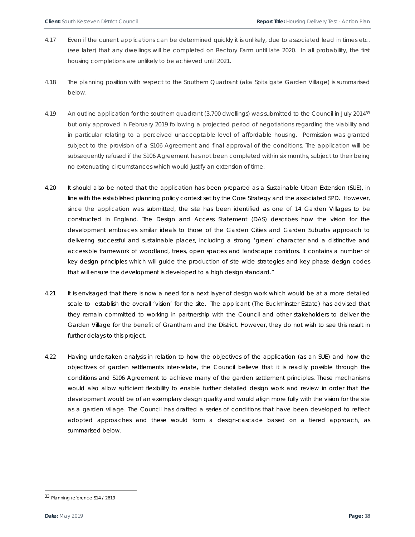- 4.17 Even if the current applications can be determined quickly it is unlikely, due to associated lead in times etc. (see later) that any dwellings will be completed on Rectory Farm until late 2020. In all probability, the first housing completions are unlikely to be achieved until 2021.
- 4.18 The planning position with respect to the Southern Quadrant (aka Spitalgate Garden Village) is summarised below.
- 4.19 An outline application for the southern quadrant (3,700 dwellings) was submitted to the Council in July 201433 but only approved in February 2019 following a projected period of negotiations regarding the viability and in particular relating to a perceived unacceptable level of affordable housing. Permission was granted subject to the provision of a S106 Agreement and final approval of the conditions. The application will be subsequently refused if the S106 Agreement has not been completed within six months, subject to their being no extenuating circumstances which would justify an extension of time.
- 4.20 It should also be noted that the application has been prepared as a Sustainable Urban Extension (SUE), in line with the established planning policy context set by the Core Strategy and the associated SPD. However, since the application was submitted, the site has been identified as one of 14 Garden Villages to be constructed in England. The Design and Access Statement (DAS) describes how the vision for the development embraces similar ideals to those of the Garden Cities and Garden Suburbs approach to delivering successful and sustainable places, including a strong 'green' character and a distinctive and accessible framework of woodland, trees, open spaces and landscape corridors. It contains a number of key design principles which will guide the production of site wide strategies and key phase design codes that will ensure the development is developed to a high design standard."
- 4.21 It is envisaged that there is now a need for a next layer of design work which would be at a more detailed scale to establish the overall 'vision' for the site. The applicant (The Buckminster Estate) has advised that they remain committed to working in partnership with the Council and other stakeholders to deliver the Garden Village for the benefit of Grantham and the District. However, they do not wish to see this result in further delays to this project.
- 4.22 Having undertaken analysis in relation to how the objectives of the application (as an SUE) and how the objectives of garden settlements inter-relate, the Council believe that it is readily possible through the conditions and S106 Agreement to achieve many of the garden settlement principles. These mechanisms would also allow sufficient flexibility to enable further detailed design work and review in order that the development would be of an exemplary design quality and would align more fully with the vision for the site as a garden village. The Council has drafted a series of conditions that have been developed to reflect adopted approaches and these would form a design-cascade based on a tiered approach, as summarised below.

<sup>33</sup> Planning reference S14 / 2619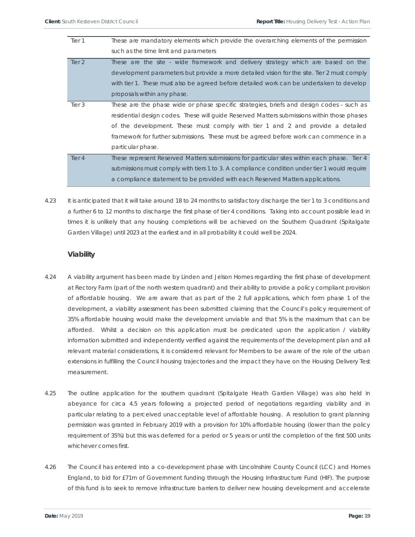| Tier 1            | These are mandatory elements which provide the overarching elements of the permission        |
|-------------------|----------------------------------------------------------------------------------------------|
|                   | such as the time limit and parameters                                                        |
| Tier 2            | These are the site - wide framework and delivery strategy which are based on the             |
|                   | development parameters but provide a more detailed vision for the site. Tier 2 must comply   |
|                   | with tier 1. These must also be agreed before detailed work can be undertaken to develop     |
|                   | proposals within any phase.                                                                  |
| Tier 3            | These are the phase wide or phase specific strategies, briefs and design codes - such as     |
|                   | residential design codes. These will quide Reserved Matters submissions within those phases  |
|                   | of the development. These must comply with tier 1 and 2 and provide a detailed               |
|                   | framework for further submissions. These must be agreed before work can commence in a        |
|                   | particular phase.                                                                            |
| Tier <sub>4</sub> | These represent Reserved Matters submissions for particular sites within each phase. Tier 4  |
|                   | submissions must comply with tiers 1 to 3. A compliance condition under tier 1 would require |
|                   | a compliance statement to be provided with each Reserved Matters applications.               |

4.23 It is anticipated that it will take around 18 to 24 months to satisfactory discharge the tier 1 to 3 conditions and a further 6 to 12 months to discharge the first phase of tier 4 conditions. Taking into account possible lead in times it is unlikely that any housing completions will be achieved on the Southern Quadrant (Spitalgate Garden Village) until 2023 at the earliest and in all probability it could well be 2024.

## **Viability**

- 4.24 A viability argument has been made by Linden and Jelson Homes regarding the first phase of development at Rectory Farm (part of the north western quadrant) and their ability to provide a policy compliant provision of affordable housing. We are aware that as part of the 2 full applications, which form phase 1 of the development, a viability assessment has been submitted claiming that the Council's policy requirement of 35% affordable housing would make the development unviable and that 5% is the maximum that can be afforded. Whilst a decision on this application must be predicated upon the application / viability information submitted and independently verified against the requirements of the development plan and all relevant material considerations, it is considered relevant for Members to be aware of the role of the urban extensions in fulfilling the Council housing trajectories and the impact they have on the Housing Delivery Test measurement.
- 4.25 The outline application for the southern quadrant (Spitalgate Heath Garden Village) was also held in abeyance for circa 4.5 years following a projected period of negotiations regarding viability and in particular relating to a perceived unacceptable level of affordable housing. A resolution to grant planning permission was granted in February 2019 with a provision for 10% affordable housing (lower than the policy requirement of 35%) but this was deferred for a period or 5 years or until the completion of the first 500 units whichever comes first.
- 4.26 The Council has entered into a co-development phase with Lincolnshire County Council (LCC) and Homes England, to bid for £71m of Government funding through the Housing Infrastructure Fund (HIF). The purpose of this fund is to seek to remove infrastructure barriers to deliver new housing development and accelerate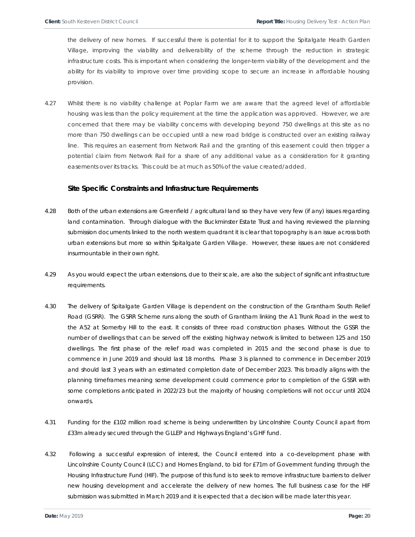the delivery of new homes. If successful there is potential for it to support the Spitalgate Heath Garden Village, improving the viability and deliverability of the scheme through the reduction in strategic infrastructure costs. This is important when considering the longer-term viability of the development and the ability for its viability to improve over time providing scope to secure an increase in affordable housing provision.

4.27 Whilst there is no viability challenge at Poplar Farm we are aware that the agreed level of affordable housing was less than the policy requirement at the time the application was approved. However, we are concerned that there may be viability concerns with developing beyond 750 dwellings at this site as no more than 750 dwellings can be occupied until a new road bridge is constructed over an existing railway line. This requires an easement from Network Rail and the granting of this easement could then trigger a potential claim from Network Rail for a share of any additional value as a consideration for it granting easements over its tracks. This could be at much as 50% of the value created/added.

### **Site Specific Constraints and Infrastructure Requirements**

- 4.28 Both of the urban extensions are Greenfield / agricultural land so they have very few (if any) issues regarding land contamination. Through dialogue with the Buckminster Estate Trust and having reviewed the planning submission documents linked to the north western quadrant it is clear that topography is an issue across both urban extensions but more so within Spitalgate Garden Village. However, these issues are not considered insurmountable in their own right.
- 4.29 As you would expect the urban extensions, due to their scale, are also the subject of significant infrastructure requirements.
- 4.30 The delivery of Spitalgate Garden Village is dependent on the construction of the Grantham South Relief Road (GSRR). The GSRR Scheme runs along the south of Grantham linking the A1 Trunk Road in the west to the A52 at Somerby Hill to the east. It consists of three road construction phases. Without the GSSR the number of dwellings that can be served off the existing highway network is limited to between 125 and 150 dwellings. The first phase of the relief road was completed in 2015 and the second phase is due to commence in June 2019 and should last 18 months. Phase 3 is planned to commence in December 2019 and should last 3 years with an estimated completion date of December 2023. This broadly aligns with the planning timeframes meaning some development could commence prior to completion of the GSSR with some completions anticipated in 2022/23 but the majority of housing completions will not occur until 2024 onwards.
- 4.31 Funding for the £102 million road scheme is being underwritten by Lincolnshire County Council apart from £33m already secured through the GLLEP and Highways England's GHF fund.
- 4.32 Following a successful expression of interest, the Council entered into a co-development phase with Lincolnshire County Council (LCC) and Homes England, to bid for £71m of Government funding through the Housing Infrastructure Fund (HIF). The purpose of this fund is to seek to remove infrastructure barriers to deliver new housing development and accelerate the delivery of new homes. The full business case for the HIF submission was submitted in March 2019 and it is expected that a decision will be made later this year.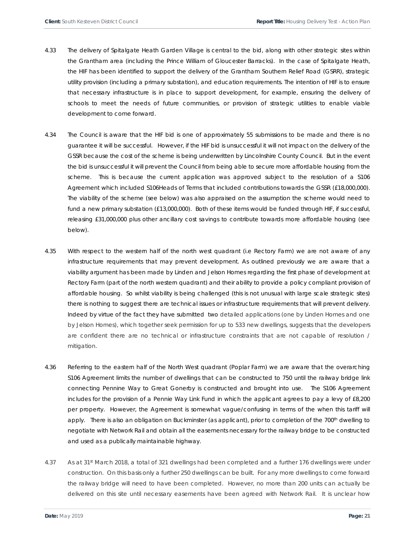- 4.33 The delivery of Spitalgate Heath Garden Village is central to the bid, along with other strategic sites within the Grantham area (including the Prince William of Gloucester Barracks). In the case of Spitalgate Heath, the HIF has been identified to support the delivery of the Grantham Southern Relief Road (GSRR), strategic utility provision (including a primary substation), and education requirements. The intention of HIF is to ensure that necessary infrastructure is in place to support development, for example, ensuring the delivery of schools to meet the needs of future communities, or provision of strategic utilities to enable viable development to come forward.
- 4.34 The Council is aware that the HIF bid is one of approximately 55 submissions to be made and there is no guarantee it will be successful. However, if the HIF bid is unsuccessful it will not impact on the delivery of the GSSR because the cost of the scheme is being underwritten by Lincolnshire County Council. But in the event the bid is unsuccessful it will prevent the Council from being able to secure more affordable housing from the scheme. This is because the current application was approved subject to the resolution of a S106 Agreement which included S106Heads of Terms that included contributions towards the GSSR (£18,000,000). The viability of the scheme (see below) was also appraised on the assumption the scheme would need to fund a new primary substation (£13,000,000). Both of these items would be funded through HIF, if successful, releasing £31,000,000 plus other ancillary cost savings to contribute towards more affordable housing (see below).
- 4.35 With respect to the western half of the north west quadrant (i.e Rectory Farm) we are not aware of any infrastructure requirements that may prevent development. As outlined previously we are aware that a viability argument has been made by Linden and Jelson Homes regarding the first phase of development at Rectory Farm (part of the north western quadrant) and their ability to provide a policy compliant provision of affordable housing. So whilst viability is being challenged (this is not unusual with large scale strategic sites) there is nothing to suggest there are technical issues or infrastructure requirements that will prevent delivery. Indeed by virtue of the fact they have submitted two detailed applications (one by Linden Homes and one by Jelson Homes), which together seek permission for up to 533 new dwellings, suggests that the developers are confident there are no technical or infrastructure constraints that are not capable of resolution / mitigation.
- 4.36 Referring to the eastern half of the North West quadrant (Poplar Farm) we are aware that the overarching S106 Agreement limits the number of dwellings that can be constructed to 750 until the railway bridge link connecting Pennine Way to Great Gonerby is constructed and brought into use. The S106 Agreement includes for the provision of a Pennie Way Link Fund in which the applicant agrees to pay a levy of £8,200 per property. However, the Agreement is somewhat vague/confusing in terms of the when this tariff will apply. There is also an obligation on Buckminster (as applicant), prior to completion of the 700<sup>th</sup> dwelling to negotiate with Network Rail and obtain all the easements necessary for the railway bridge to be constructed and used as a publically maintainable highway.
- 4.37 As at 31st March 2018, a total of 321 dwellings had been completed and a further 176 dwellings were under construction. On this basis only a further 250 dwellings can be built. For any more dwellings to come forward the railway bridge will need to have been completed. However, no more than 200 units can actually be delivered on this site until necessary easements have been agreed with Network Rail. It is unclear how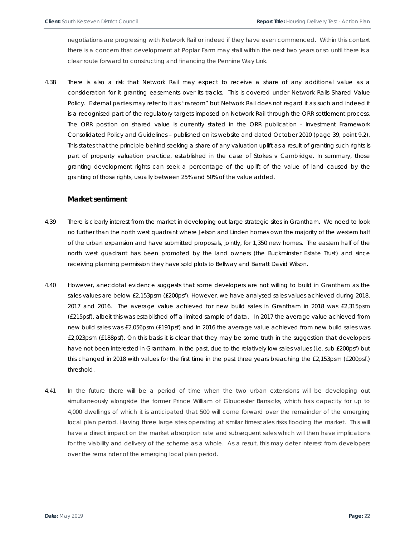negotiations are progressing with Network Rail or indeed if they have even commenced. Within this context there is a concern that development at Poplar Farm may stall within the next two years or so until there is a clear route forward to constructing and financing the Pennine Way Link.

4.38 There is also a risk that Network Rail may expect to receive a share of any additional value as a consideration for it granting easements over its tracks. This is covered under Network Rails Shared Value Policy. External parties may refer to it as "ransom" but Network Rail does not regard it as such and indeed it is a recognised part of the regulatory targets imposed on Network Rail through the ORR settlement process. The ORR position on shared value is currently stated in the ORR publication - Investment Framework Consolidated Policy and Guidelines – published on its website and dated October 2010 (page 39, point 9.2). This states that the principle behind seeking a share of any valuation uplift as a result of granting such rights is part of property valuation practice, established in the case of Stokes v Cambridge. In summary, those granting development rights can seek a percentage of the uplift of the value of land caused by the granting of those rights, usually between 25% and 50% of the value added.

### **Market sentiment**

- 4.39 There is clearly interest from the market in developing out large strategic sites in Grantham. We need to look no further than the north west quadrant where Jelson and Linden homes own the majority of the western half of the urban expansion and have submitted proposals, jointly, for 1,350 new homes. The eastern half of the north west quadrant has been promoted by the land owners (the Buckminster Estate Trust) and since receiving planning permission they have sold plots to Bellway and Barratt David Wilson.
- 4.40 However, anecdotal evidence suggests that some developers are not willing to build in Grantham as the sales values are below £2,153psm (£200psf). However, we have analysed sales values achieved during 2018, 2017 and 2016. The average value achieved for new build sales in Grantham in 2018 was £2,315psm (£215psf), albeit this was established off a limited sample of data. In 2017 the average value achieved from new build sales was £2,056psm (£191psf) and in 2016 the average value achieved from new build sales was £2,023psm (£188psf). On this basis it is clear that they may be some truth in the suggestion that developers have not been interested in Grantham, in the past, due to the relatively low sales values (i.e. sub £200psf) but this changed in 2018 with values for the first time in the past three years breaching the £2,153psm (£200psf.) threshold.
- 4.41 In the future there will be a period of time when the two urban extensions will be developing out simultaneously alongside the former Prince William of Gloucester Barracks, which has capacity for up to 4,000 dwellings of which it is anticipated that 500 will come forward over the remainder of the emerging local plan period. Having three large sites operating at similar timescales risks flooding the market. This will have a direct impact on the market absorption rate and subsequent sales which will then have implications for the viability and delivery of the scheme as a whole. As a result, this may deter interest from developers over the remainder of the emerging local plan period.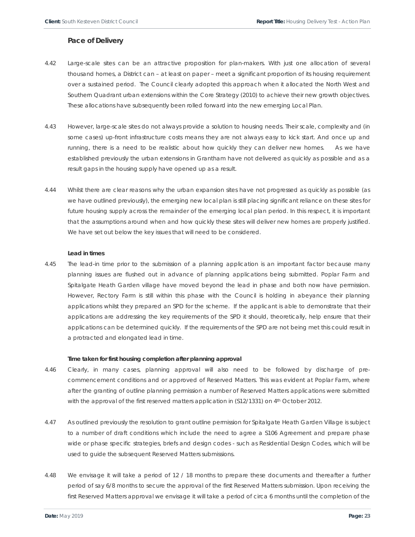### **Pace of Delivery**

- 4.42 Large-scale sites can be an attractive proposition for plan-makers. With just one allocation of several thousand homes, a District can – at least on paper – meet a significant proportion of its housing requirement over a sustained period. The Council clearly adopted this approach when it allocated the North West and Southern Quadrant urban extensions within the Core Strategy (2010) to achieve their new growth objectives. These allocations have subsequently been rolled forward into the new emerging Local Plan.
- 4.43 However, large-scale sites do not always provide a solution to housing needs. Their scale, complexity and (in some cases) up-front infrastructure costs means they are not always easy to kick start. And once up and running, there is a need to be realistic about how quickly they can deliver new homes. As we have established previously the urban extensions in Grantham have not delivered as quickly as possible and as a result gaps in the housing supply have opened up as a result.
- 4.44 Whilst there are clear reasons why the urban expansion sites have not progressed as quickly as possible (as we have outlined previously), the emerging new local plan is still placing significant reliance on these sites for future housing supply across the remainder of the emerging local plan period. In this respect, it is important that the assumptions around when and how quickly these sites will deliver new homes are properly justified. We have set out below the key issues that will need to be considered.

#### **Lead in times**

4.45 The lead-in time prior to the submission of a planning application is an important factor because many planning issues are flushed out in advance of planning applications being submitted. Poplar Farm and Spitalgate Heath Garden village have moved beyond the lead in phase and both now have permission. However, Rectory Farm is still within this phase with the Council is holding in abeyance their planning applications whilst they prepared an SPD for the scheme. If the applicant is able to demonstrate that their applications are addressing the key requirements of the SPD it should, theoretically, help ensure that their applications can be determined quickly. If the requirements of the SPD are not being met this could result in a protracted and elongated lead in time.

#### **Time taken for first housing completion after planning approval**

- 4.46 Clearly, in many cases, planning approval will also need to be followed by discharge of precommencement conditions and or approved of Reserved Matters. This was evident at Poplar Farm, where after the granting of outline planning permission a number of Reserved Matters applications were submitted with the approval of the first reserved matters application in (S12/1331) on 4<sup>th</sup> October 2012.
- 4.47 As outlined previously the resolution to grant outline permission for Spitalgate Heath Garden Village is subject to a number of draft conditions which include the need to agree a S106 Agreement and prepare phase wide or phase specific strategies, briefs and design codes - such as Residential Design Codes, which will be used to guide the subsequent Reserved Matters submissions.
- 4.48 We envisage it will take a period of 12 / 18 months to prepare these documents and thereafter a further period of say 6/8 months to secure the approval of the first Reserved Matters submission. Upon receiving the first Reserved Matters approval we envisage it will take a period of circa 6 months until the completion of the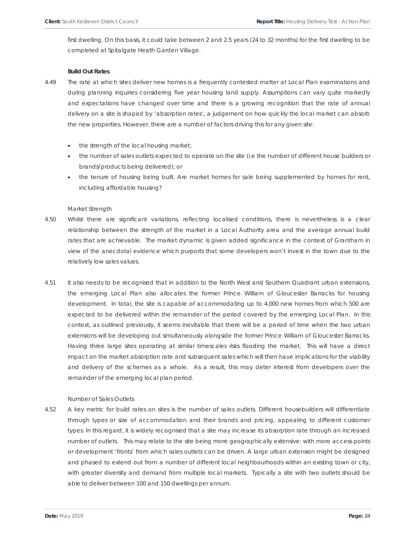first dwelling. On this basis, it could take between 2 and 2.5 years (24 to 32 months) for the first dwelling to be completed at Spitalgate Heath Garden Village.

### **Build Out Rates**

- 4.49 The rate at which sites deliver new homes is a frequently contested matter at Local Plan examinations and during planning inquiries considering five year housing land supply. Assumptions can vary quite markedly and expectations have changed over time and there is a growing recognition that the rate of annual delivery on a site is shaped by 'absorption rates', a judgement on how quickly the local market can absorb the new properties. However, there are a number of factors driving this for any given site:
	- the strength of the local housing market;
	- the number of sales outlets expected to operate on the site (i.e the number of different house builders or brands/products being delivered); or
	- the tenure of housing being built. Are market homes for sale being supplemented by homes for rent, including affordable housing?

#### *Market Strength*

- 4.50 Whilst there are significant variations, reflecting localised conditions, there is nevertheless is a clear relationship between the strength of the market in a Local Authority area and the average annual build rates that are achievable. The market dynamic is given added significance in the context of Grantham in view of the anecdotal evidence which purports that some developers won't invest in the town due to the relatively low sales values.
- 4.51 It also needs to be recognised that in addition to the North West and Southern Quadrant urban extensions, the emerging Local Plan also allocates the former Prince William of Gloucester Barracks for housing development. In total, the site is capable of accommodating up to 4,000 new homes from which 500 are expected to be delivered within the remainder of the period covered by the emerging Local Plan. In this context, as outlined previously, it seems inevitable that there will be a period of time when the two urban extensions will be developing out simultaneously alongside the former Prince William of Gloucester Barracks. Having three large sites operating at similar timescales risks flooding the market. This will have a direct impact on the market absorption rate and subsequent sales which will then have implications for the viability and delivery of the schemes as a whole. As a result, this may deter interest from developers over the remainder of the emerging local plan period.

#### *Number of Sales Outlets*

4.52 A key metric for build rates on sites is the number of sales outlets. Different housebuilders will differentiate through types or size of accommodation and their brands and pricing, appealing to different customer types. In this regard, it is widely recognised that a site may increase its absorption rate through an increased number of outlets. This may relate to the site being more geographically extensive: with more access points or development 'fronts' from which sales outlets can be driven. A large urban extension might be designed and phased to extend out from a number of different local neighbourhoods within an existing town or city, with greater diversity and demand from multiple local markets. Typically a site with two outlets should be able to deliver between 100 and 150 dwellings per annum.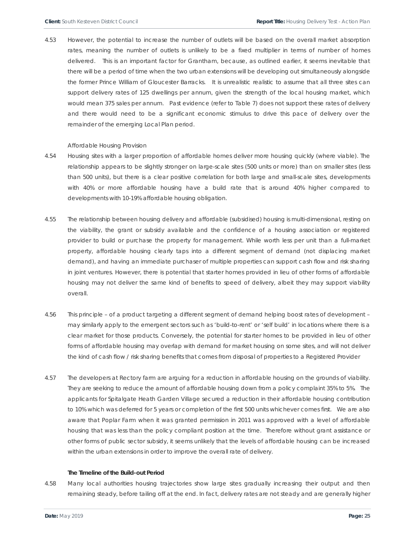4.53 However, the potential to increase the number of outlets will be based on the overall market absorption rates, meaning the number of outlets is unlikely to be a fixed multiplier in terms of number of homes delivered. This is an important factor for Grantham, because, as outlined earlier, it seems inevitable that there will be a period of time when the two urban extensions will be developing out simultaneously alongside the former Prince William of Gloucester Barracks. It is unrealistic realistic to assume that all three sites can support delivery rates of 125 dwellings per annum, given the strength of the local housing market, which would mean 375 sales per annum. Past evidence (refer to Table 7) does not support these rates of delivery and there would need to be a significant economic stimulus to drive this pace of delivery over the remainder of the emerging Local Plan period.

#### *Affordable Housing Provision*

- 4.54 Housing sites with a larger proportion of affordable homes deliver more housing quickly (where viable). The relationship appears to be slightly stronger on large-scale sites (500 units or more) than on smaller sites (less than 500 units), but there is a clear positive correlation for both large and small-scale sites, developments with 40% or more affordable housing have a build rate that is around 40% higher compared to developments with 10-19% affordable housing obligation.
- 4.55 The relationship between housing delivery and affordable (subsidised) housing is multi-dimensional, resting on the viability, the grant or subsidy available and the confidence of a housing association or registered provider to build or purchase the property for management. While worth less per unit than a full-market property, affordable housing clearly taps into a different segment of demand (not displacing market demand), and having an immediate purchaser of multiple properties can support cash flow and risk sharing in joint ventures. However, there is potential that starter homes provided in lieu of other forms of affordable housing may not deliver the same kind of benefits to speed of delivery, albeit they may support viability overall.
- 4.56 This principle of a product targeting a different segment of demand helping boost rates of development may similarly apply to the emergent sectors such as 'build-to-rent' or 'self build' in locations where there is a clear market for those products. Conversely, the potential for starter homes to be provided in lieu of other forms of affordable housing may overlap with demand for market housing on some sites, and will not deliver the kind of cash flow / risk sharing benefits that comes from disposal of properties to a Registered Provider
- 4.57 The developers at Rectory farm are arguing for a reduction in affordable housing on the grounds of viability. They are seeking to reduce the amount of affordable housing down from a policy complaint 35% to 5%. The applicants for Spitalgate Heath Garden Village secured a reduction in their affordable housing contribution to 10% which was deferred for 5 years or completion of the first 500 units whichever comes first. We are also aware that Poplar Farm when it was granted permission in 2011 was approved with a level of affordable housing that was less than the policy compliant position at the time. Therefore without grant assistance or other forms of public sector subsidy, it seems unlikely that the levels of affordable housing can be increased within the urban extensions in order to improve the overall rate of delivery.

#### **The Timeline of the Build-out Period**

4.58 Many local authorities housing trajectories show large sites gradually increasing their output and then remaining steady, before tailing off at the end. In fact, delivery rates are not steady and are generally higher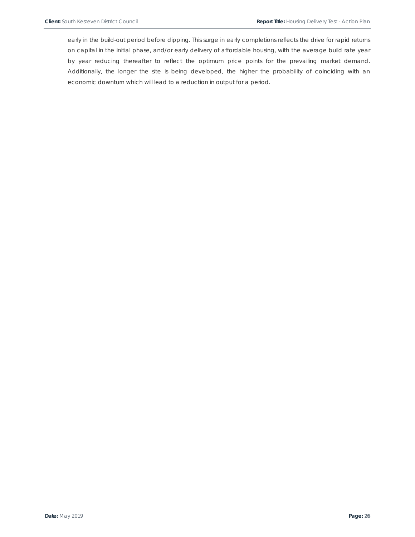early in the build-out period before dipping. This surge in early completions reflects the drive for rapid returns on capital in the initial phase, and/or early delivery of affordable housing, with the average build rate year by year reducing thereafter to reflect the optimum price points for the prevailing market demand. Additionally, the longer the site is being developed, the higher the probability of coinciding with an economic downturn which will lead to a reduction in output for a period.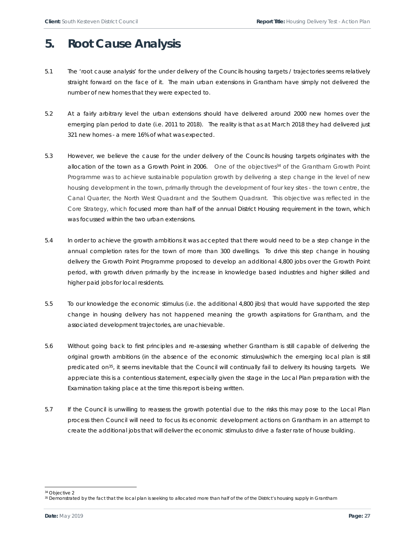## **5. Root Cause Analysis**

- 5.1 The 'root cause analysis' for the under delivery of the Councils housing targets / trajectories seems relatively straight forward on the face of it. The main urban extensions in Grantham have simply not delivered the number of new homes that they were expected to.
- 5.2 At a fairly arbitrary level the urban extensions should have delivered around 2000 new homes over the emerging plan period to date (i.e. 2011 to 2018). The reality is that as at March 2018 they had delivered just 321 new homes - a mere 16% of what was expected.
- 5.3 However, we believe the cause for the under delivery of the Councils housing targets originates with the allocation of the town as a Growth Point in 2006. One of the objectives<sup>34</sup> of the Grantham Growth Point Programme was to achieve sustainable population growth by delivering a step change in the level of new housing development in the town, primarily through the development of four key sites - the town centre, the Canal Quarter, the North West Quadrant and the Southern Quadrant. This objective was reflected in the Core Strategy, which focused more than half of the annual District Housing requirement in the town, which was focussed within the two urban extensions.
- 5.4 In order to achieve the growth ambitions it was accepted that there would need to be a step change in the annual completion rates for the town of more than 300 dwellings. To drive this step change in housing delivery the Growth Point Programme proposed to develop an additional 4,800 jobs over the Growth Point period, with growth driven primarily by the increase in knowledge based industries and higher skilled and higher paid jobs for local residents.
- 5.5 To our knowledge the economic stimulus (i.e. the additional 4,800 jibs) that would have supported the step change in housing delivery has not happened meaning the growth aspirations for Grantham, and the associated development trajectories, are unachievable.
- 5.6 Without going back to first principles and re-assessing whether Grantham is still capable of delivering the original growth ambitions (in the absence of the economic stimulus)which the emerging local plan is still predicated on<sup>35</sup>, it seems inevitable that the Council will continually fail to delivery its housing targets. We appreciate this is a contentious statement, especially given the stage in the Local Plan preparation with the Examination taking place at the time this report is being written.
- 5.7 If the Council is unwilling to reassess the growth potential due to the risks this may pose to the Local Plan process then Council will need to focus its economic development actions on Grantham in an attempt to create the additional jobs that will deliver the economic stimulus to drive a faster rate of house building.

l 34 Objective 2

<sup>&</sup>lt;sup>35</sup> Demonstrated by the fact that the local plan is seeking to allocated more than half of the of the District's housing supply in Grantham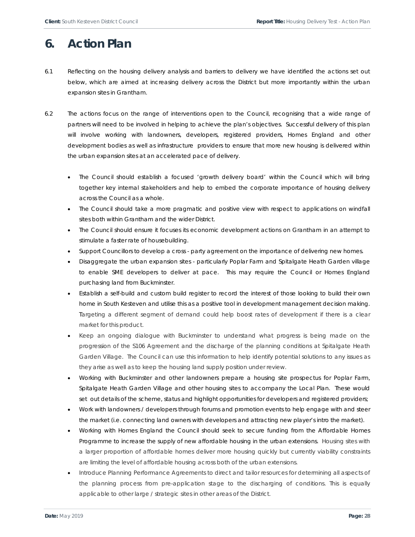# **6. Action Plan**

- 6.1 Reflecting on the housing delivery analysis and barriers to delivery we have identified the actions set out below, which are aimed at increasing delivery across the District but more importantly within the urban expansion sites in Grantham.
- 6.2 The actions focus on the range of interventions open to the Council, recognising that a wide range of partners will need to be involved in helping to achieve the plan's objectives. Successful delivery of this plan will involve working with landowners, developers, registered providers, Homes England and other development bodies as well as infrastructure providers to ensure that more new housing is delivered within the urban expansion sites at an accelerated pace of delivery.
	- The Council should establish a focused 'growth delivery board' within the Council which will bring together key internal stakeholders and help to embed the corporate importance of housing delivery across the Council as a whole.
	- The Council should take a more pragmatic and positive view with respect to applications on windfall sites both within Grantham and the wider District.
	- The Council should ensure it focuses its economic development actions on Grantham in an attempt to stimulate a faster rate of housebuilding.
	- Support Councillors to develop a cross party agreement on the importance of delivering new homes.
	- Disaggregate the urban expansion sites particularly Poplar Farm and Spitalgate Heath Garden village to enable SME developers to deliver at pace. This may require the Council or Homes England purchasing land from Buckminster.
	- Establish a self-build and custom build register to record the interest of those looking to build their own home in South Kesteven and utilise this as a positive tool in development management decision making. Targeting a different segment of demand could help boost rates of development if there is a clear market for this product.
	- Keep an ongoing dialogue with Buckminster to understand what progress is being made on the progression of the S106 Agreement and the discharge of the planning conditions at Spitalgate Heath Garden Village. The Council can use this information to help identify potential solutions to any issues as they arise as well as to keep the housing land supply position under review.
	- Working with Buckminster and other landowners prepare a housing site prospectus for Poplar Farm, Spitalgate Heath Garden Village and other housing sites to accompany the Local Plan. These would set out details of the scheme, status and highlight opportunities for developers and registered providers;
	- Work with landowners / developers through forums and promotion events to help engage with and steer the market (i.e. connecting land owners with developers and attracting new player's intro the market).
	- Working with Homes England the Council should seek to secure funding from the Affordable Homes Programme to increase the supply of new affordable housing in the urban extensions. Housing sites with a larger proportion of affordable homes deliver more housing quickly but currently viability constraints are limiting the level of affordable housing across both of the urban extensions.
	- Introduce Planning Performance Agreements to direct and tailor resources for determining all aspects of the planning process from pre-application stage to the discharging of conditions. This is equally applicable to other large / strategic sites in other areas of the District.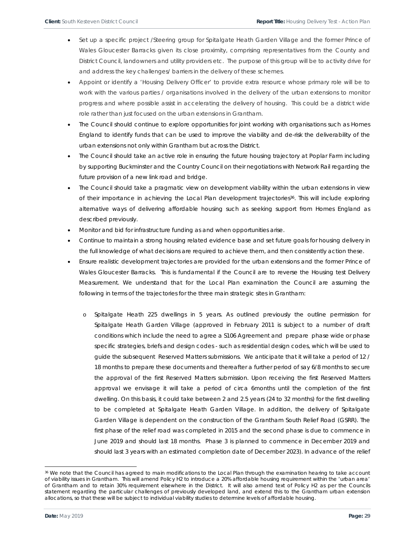- Set up a specific project /Steering group for Spitalgate Heath Garden Village and the former Prince of Wales Gloucester Barracks given its close proximity, comprising representatives from the County and District Council, landowners and utility providers etc. The purpose of this group will be to activity drive for and address the key challenges/ barriers in the delivery of these schemes.
- Appoint or identify a 'Housing Delivery Officer' to provide extra resource whose primary role will be to work with the various parties / organisations involved in the delivery of the urban extensions to monitor progress and where possible assist in accelerating the delivery of housing. This could be a district wide role rather than just focused on the urban extensions in Grantham.
- The Council should continue to explore opportunities for joint working with organisations such as Homes England to identify funds that can be used to improve the viability and de-risk the deliverability of the urban extensions not only within Grantham but across the District.
- The Council should take an active role in ensuring the future housing trajectory at Poplar Farm including by supporting Buckminster and the Country Council on their negotiations with Network Rail regarding the future provision of a new link road and bridge.
- The Council should take a pragmatic view on development viability within the urban extensions in view of their importance in achieving the Local Plan development trajectories<sup>36</sup>. This will include exploring alternative ways of delivering affordable housing such as seeking support from Homes England as described previously.
- Monitor and bid for infrastructure funding as and when opportunities arise.
- Continue to maintain a strong housing related evidence base and set future goals for housing delivery in the full knowledge of what decisions are required to achieve them, and then consistently action these.
- Ensure realistic development trajectories are provided for the urban extensions and the former Prince of Wales Gloucester Barracks. This is fundamental if the Council are to reverse the Housing test Delivery Measurement. We understand that for the Local Plan examination the Council are assuming the following in terms of the trajectories for the three main strategic sites in Grantham:
	- Spitalgate Heath 225 dwellings in 5 years. As outlined previously the outline permission for Spitalgate Heath Garden Village (approved in February 2011 is subject to a number of draft conditions which include the need to agree a S106 Agreement and prepare phase wide or phase specific strategies, briefs and design codes - such as residential design codes, which will be used to guide the subsequent Reserved Matters submissions. We anticipate that it will take a period of 12 / 18 months to prepare these documents and thereafter a further period of say 6/8 months to secure the approval of the first Reserved Matters submission. Upon receiving the first Reserved Matters approval we envisage it will take a period of circa 6months until the completion of the first dwelling. On this basis, it could take between 2 and 2.5 years (24 to 32 months) for the first dwelling to be completed at Spitalgate Heath Garden Village. In addition, the delivery of Spitalgate Garden Village is dependent on the construction of the Grantham South Relief Road (GSRR). The first phase of the relief road was completed in 2015 and the second phase is due to commence in June 2019 and should last 18 months. Phase 3 is planned to commence in December 2019 and should last 3 years with an estimated completion date of December 2023). In advance of the relief

<sup>36</sup> We note that the Council has agreed to main modifications to the Local Plan through the examination hearing to take account of viability issues in Grantham. This will amend Policy H2 to introduce a 20% affordable housing requirement within the 'urban area' of Grantham and to retain 30% requirement elsewhere in the District. It will also amend text of Policy H2 as per the Councils statement regarding the particular challenges of previously developed land, and extend this to the Grantham urban extension allocations, so that these will be subject to individual viability studies to determine levels of affordable housing.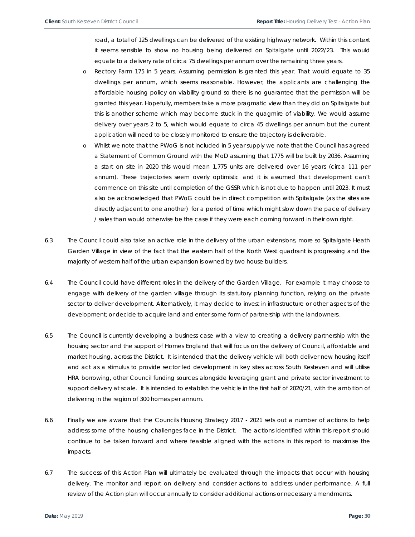road, a total of 125 dwellings can be delivered of the existing highway network. Within this context it seems sensible to show no housing being delivered on Spitalgate until 2022/23. This would equate to a delivery rate of circa 75 dwellings per annum over the remaining three years.

- o Rectory Farm 175 in 5 years. Assuming permission is granted this year. That would equate to 35 dwellings per annum, which seems reasonable. However, the applicants are challenging the affordable housing policy on viability ground so there is no guarantee that the permission will be granted this year. Hopefully, members take a more pragmatic view than they did on Spitalgate but this is another scheme which may become stuck in the quagmire of viability. We would assume delivery over years 2 to 5, which would equate to circa 45 dwellings per annum but the current application will need to be closely monitored to ensure the trajectory is deliverable.
- o Whilst we note that the PWoG is not included in 5 year supply we note that the Council has agreed a Statement of Common Ground with the MoD assuming that 1775 will be built by 2036. Assuming a start on site in 2020 this would mean 1,775 units are delivered over 16 years (circa 111 per annum). These trajectories seem overly optimistic and it is assumed that development can't commence on this site until completion of the GSSR which is not due to happen until 2023. It must also be acknowledged that PWoG could be in direct competition with Spitalgate (as the sites are directly adjacent to one another) for a period of time which might slow down the pace of delivery / sales than would otherwise be the case if they were each coming forward in their own right.
- 6.3 The Council could also take an active role in the delivery of the urban extensions, more so Spitalgate Heath Garden Village in view of the fact that the eastern half of the North West quadrant is progressing and the majority of western half of the urban expansion is owned by two house builders.
- 6.4 The Council could have different roles in the delivery of the Garden Village. For example it may choose to engage with delivery of the garden village through its statutory planning function, relying on the private sector to deliver development. Alternatively, it may decide to invest in infrastructure or other aspects of the development; or decide to acquire land and enter some form of partnership with the landowners.
- 6.5 The Council is currently developing a business case with a view to creating a delivery partnership with the housing sector and the support of Homes England that will focus on the delivery of Council, affordable and market housing, across the District. It is intended that the delivery vehicle will both deliver new housing itself and act as a stimulus to provide sector led development in key sites across South Kesteven and will utilise HRA borrowing, other Council funding sources alongside leveraging grant and private sector investment to support delivery at scale. It is intended to establish the vehicle in the first half of 2020/21, with the ambition of delivering in the region of 300 homes per annum.
- 6.6 Finally we are aware that the Councils Housing Strategy 2017 2021 sets out a number of actions to help address some of the housing challenges face in the District. The actions identified within this report should continue to be taken forward and where feasible aligned with the actions in this report to maximise the impacts.
- 6.7 The success of this Action Plan will ultimately be evaluated through the impacts that occur with housing delivery. The monitor and report on delivery and consider actions to address under performance. A full review of the Action plan will occur annually to consider additional actions or necessary amendments.